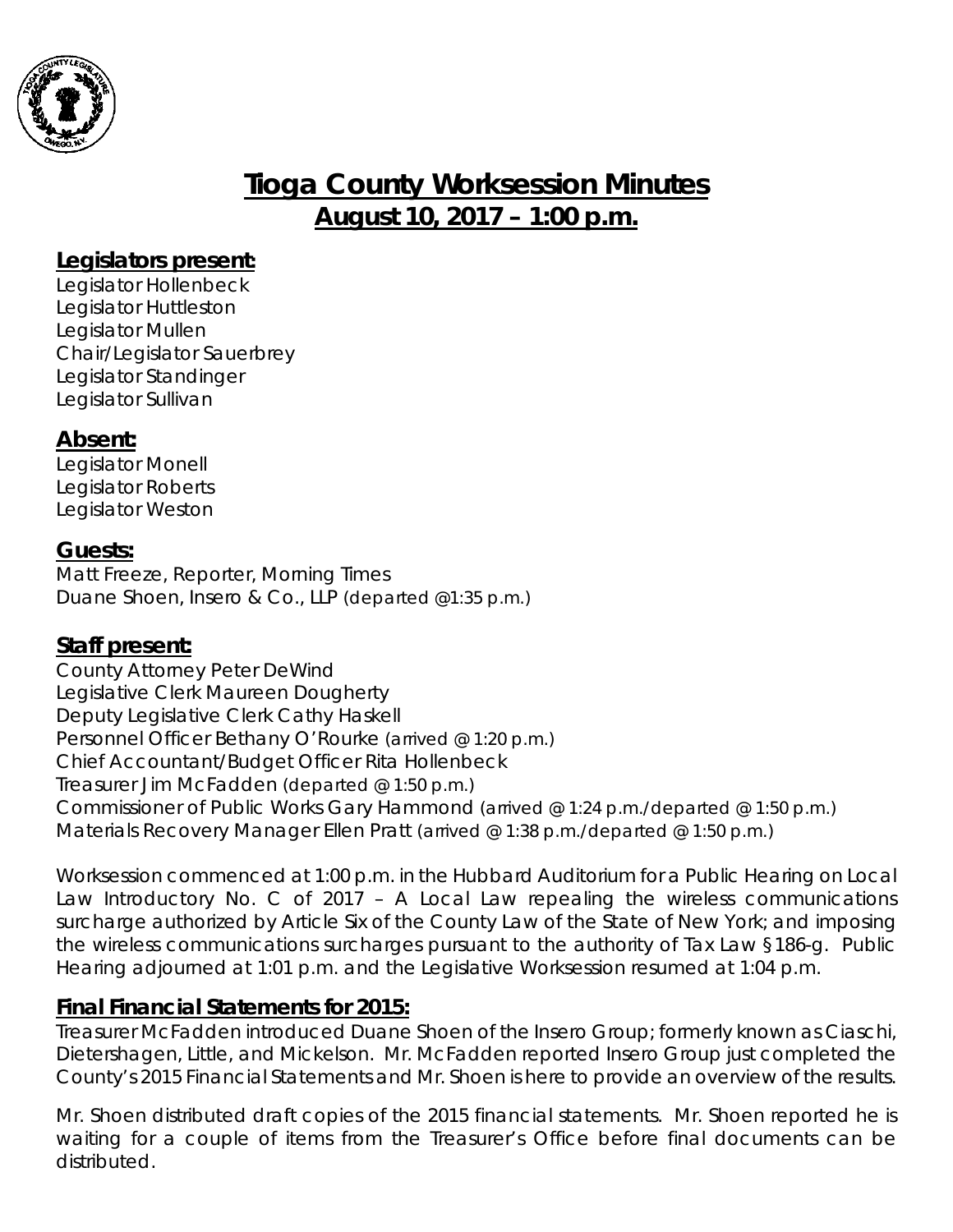

# **Tioga County Worksession Minutes August 10, 2017 – 1:00 p.m.**

## **Legislators present:**

Legislator Hollenbeck Legislator Huttleston Legislator Mullen Chair/Legislator Sauerbrey Legislator Standinger Legislator Sullivan

# **Absent:**

Legislator Monell Legislator Roberts Legislator Weston

## **Guests:**

Matt Freeze, Reporter, Morning Times Duane Shoen, Insero & Co., LLP *(departed @1:35 p.m.)*

## **Staff present:**

County Attorney Peter DeWind Legislative Clerk Maureen Dougherty Deputy Legislative Clerk Cathy Haskell Personnel Officer Bethany O'Rourke *(arrived @ 1:20 p.m.)* Chief Accountant/Budget Officer Rita Hollenbeck Treasurer Jim McFadden *(departed @ 1:50 p.m.)* Commissioner of Public Works Gary Hammond *(arrived @ 1:24 p.m./departed @ 1:50 p.m.)* Materials Recovery Manager Ellen Pratt *(arrived @ 1:38 p.m./departed @ 1:50 p.m.)*

*Worksession commenced at 1:00 p.m. in the Hubbard Auditorium for a Public Hearing on Local Law Introductory No. C of 2017 – A Local Law repealing the wireless communications* surcharge authorized by Article Six of the County Law of the State of New York; and imposing *the wireless communications surcharges pursuant to the authority of Tax Law §186-g. Public Hearing adjourned at 1:01 p.m. and the Legislative Worksession resumed at 1:04 p.m.*

#### **Final Financial Statements for 2015:**

Treasurer McFadden introduced Duane Shoen of the Insero Group; formerly known as Ciaschi, Dietershagen, Little, and Mickelson. Mr. McFadden reported Insero Group just completed the County's 2015 Financial Statements and Mr. Shoen is here to provide an overview of the results.

Mr. Shoen distributed draft copies of the 2015 financial statements. Mr. Shoen reported he is waiting for a couple of items from the Treasurer's Office before final documents can be distributed.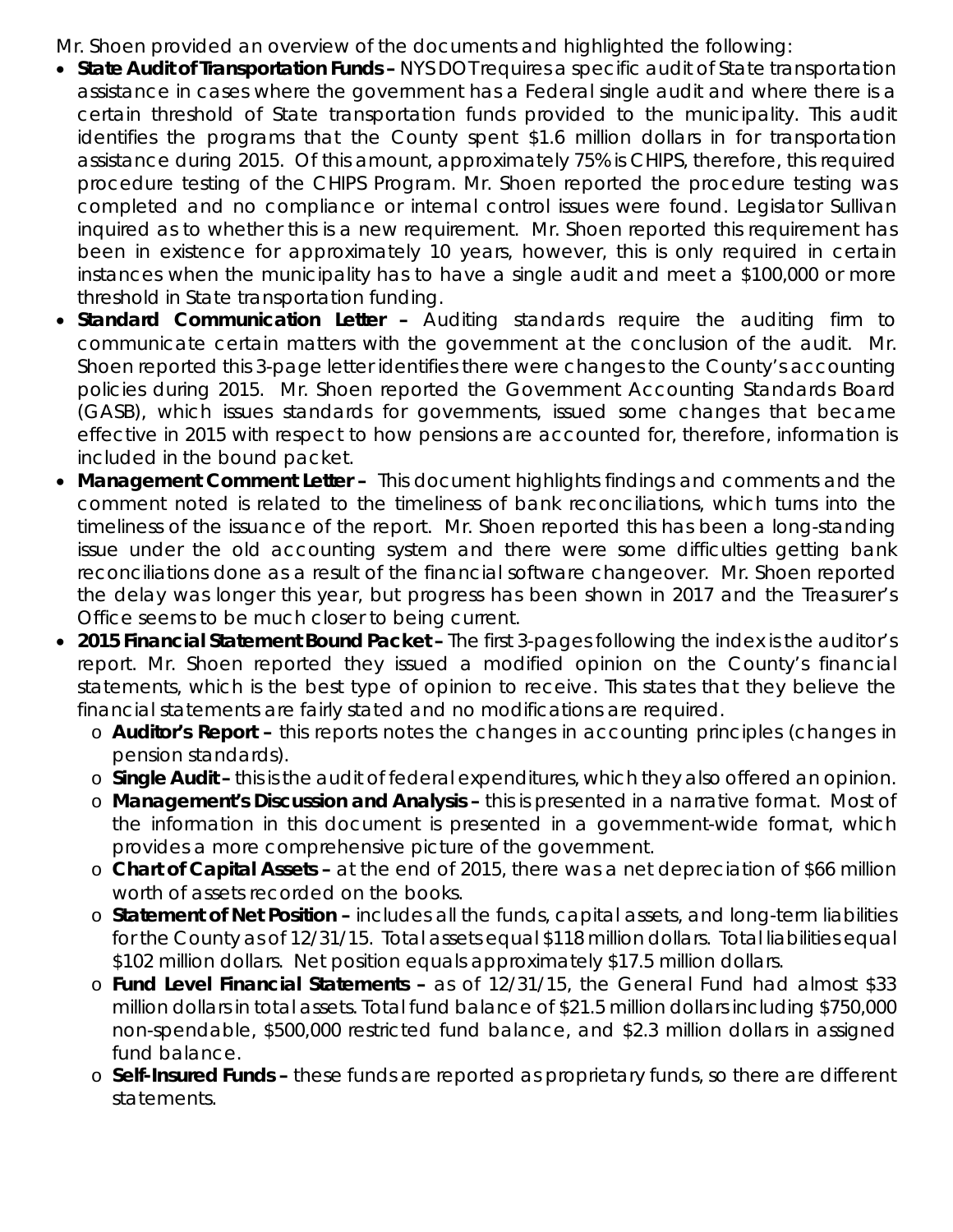Mr. Shoen provided an overview of the documents and highlighted the following:

- *State Audit of Transportation Funds –* NYS DOT requires a specific audit of State transportation assistance in cases where the government has a Federal single audit and where there is a certain threshold of State transportation funds provided to the municipality. This audit identifies the programs that the County spent \$1.6 million dollars in for transportation assistance during 2015. Of this amount, approximately 75% is CHIPS, therefore, this required procedure testing of the CHIPS Program. Mr. Shoen reported the procedure testing was completed and no compliance or internal control issues were found. Legislator Sullivan inquired as to whether this is a new requirement. Mr. Shoen reported this requirement has been in existence for approximately 10 years, however, this is only required in certain instances when the municipality has to have a single audit and meet a \$100,000 or more threshold in State transportation funding.
- *Standard Communication Letter –* Auditing standards require the auditing firm to communicate certain matters with the government at the conclusion of the audit. Mr. Shoen reported this 3-page letter identifies there were changes to the County's accounting policies during 2015. Mr. Shoen reported the Government Accounting Standards Board (GASB), which issues standards for governments, issued some changes that became effective in 2015 with respect to how pensions are accounted for, therefore, information is included in the bound packet.
- *Management Comment Letter –* This document highlights findings and comments and the comment noted is related to the timeliness of bank reconciliations, which turns into the timeliness of the issuance of the report. Mr. Shoen reported this has been a long-standing issue under the old accounting system and there were some difficulties getting bank reconciliations done as a result of the financial software changeover. Mr. Shoen reported the delay was longer this year, but progress has been shown in 2017 and the Treasurer's Office seems to be much closer to being current.
- *2015 Financial Statement Bound Packet –* The first 3-pages following the index is the auditor's report. Mr. Shoen reported they issued a modified opinion on the County's financial statements, which is the best type of opinion to receive. This states that they believe the financial statements are fairly stated and no modifications are required.
	- o *Auditor's Report –* this reports notes the changes in accounting principles (changes in pension standards).
	- o *Single Audit –* this is the audit of federal expenditures, which they also offered an opinion.
	- o *Management's Discussion and Analysis –* this is presented in a narrative format. Most of the information in this document is presented in a government-wide format, which provides a more comprehensive picture of the government.
	- o *Chart of Capital Assets –* at the end of 2015, there was a net depreciation of \$66 million worth of assets recorded on the books.
	- o *Statement of Net Position –* includes all the funds, capital assets, and long-term liabilities for the County as of 12/31/15. Total assets equal \$118 million dollars. Total liabilities equal \$102 million dollars. Net position equals approximately \$17.5 million dollars.
	- o *Fund Level Financial Statements –* as of 12/31/15, the General Fund had almost \$33 million dollars in total assets. Total fund balance of \$21.5 million dollars including \$750,000 non-spendable, \$500,000 restricted fund balance, and \$2.3 million dollars in assigned fund balance.
	- o *Self-Insured Funds –* these funds are reported as proprietary funds, so there are different statements.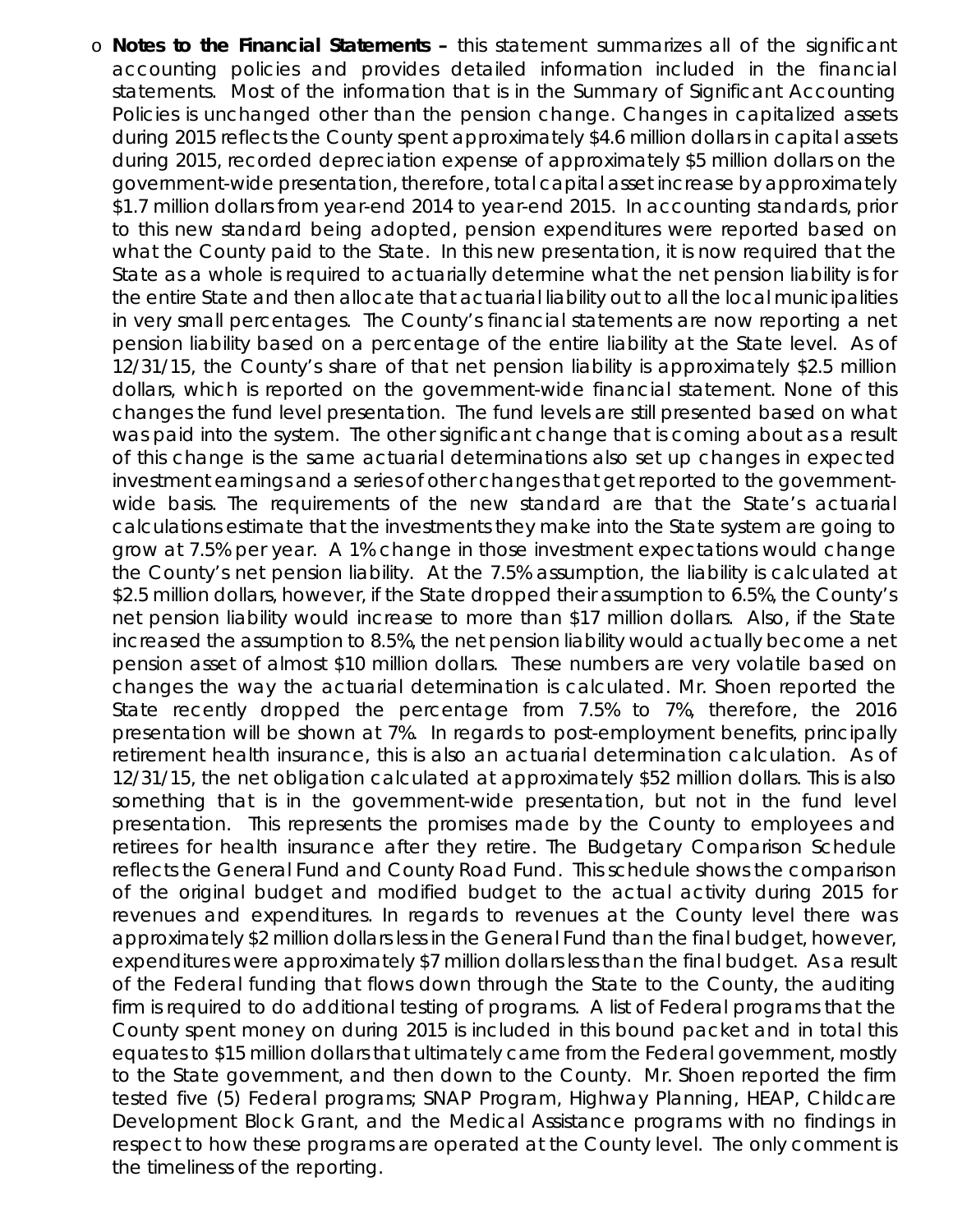o *Notes to the Financial Statements –* this statement summarizes all of the significant accounting policies and provides detailed information included in the financial statements. Most of the information that is in the Summary of Significant Accounting Policies is unchanged other than the pension change. Changes in capitalized assets during 2015 reflects the County spent approximately \$4.6 million dollars in capital assets during 2015, recorded depreciation expense of approximately \$5 million dollars on the government-wide presentation, therefore, total capital asset increase by approximately \$1.7 million dollars from year-end 2014 to year-end 2015. In accounting standards, prior to this new standard being adopted, pension expenditures were reported based on what the County paid to the State. In this new presentation, it is now required that the State as a whole is required to actuarially determine what the net pension liability is for the entire State and then allocate that actuarial liability out to all the local municipalities in very small percentages. The County's financial statements are now reporting a net pension liability based on a percentage of the entire liability at the State level. As of 12/31/15, the County's share of that net pension liability is approximately \$2.5 million dollars, which is reported on the government-wide financial statement. None of this changes the fund level presentation. The fund levels are still presented based on what was paid into the system. The other significant change that is coming about as a result of this change is the same actuarial determinations also set up changes in expected investment earnings and a series of other changes that get reported to the governmentwide basis. The requirements of the new standard are that the State's actuarial calculations estimate that the investments they make into the State system are going to grow at 7.5% per year. A 1% change in those investment expectations would change the County's net pension liability. At the 7.5% assumption, the liability is calculated at \$2.5 million dollars, however, if the State dropped their assumption to 6.5%, the County's net pension liability would increase to more than \$17 million dollars. Also, if the State increased the assumption to 8.5%, the net pension liability would actually become a net pension asset of almost \$10 million dollars. These numbers are very volatile based on changes the way the actuarial determination is calculated. Mr. Shoen reported the State recently dropped the percentage from 7.5% to 7%, therefore, the 2016 presentation will be shown at 7%. In regards to post-employment benefits, principally retirement health insurance, this is also an actuarial determination calculation. As of 12/31/15, the net obligation calculated at approximately \$52 million dollars. This is also something that is in the government-wide presentation, but not in the fund level presentation. This represents the promises made by the County to employees and retirees for health insurance after they retire. The Budgetary Comparison Schedule reflects the General Fund and County Road Fund. This schedule shows the comparison of the original budget and modified budget to the actual activity during 2015 for revenues and expenditures. In regards to revenues at the County level there was approximately \$2 million dollars less in the General Fund than the final budget, however, expenditures were approximately \$7 million dollars less than the final budget. As a result of the Federal funding that flows down through the State to the County, the auditing firm is required to do additional testing of programs. A list of Federal programs that the County spent money on during 2015 is included in this bound packet and in total this equates to \$15 million dollars that ultimately came from the Federal government, mostly to the State government, and then down to the County. Mr. Shoen reported the firm tested five (5) Federal programs; SNAP Program, Highway Planning, HEAP, Childcare Development Block Grant, and the Medical Assistance programs with no findings in respect to how these programs are operated at the County level. The only comment is the timeliness of the reporting.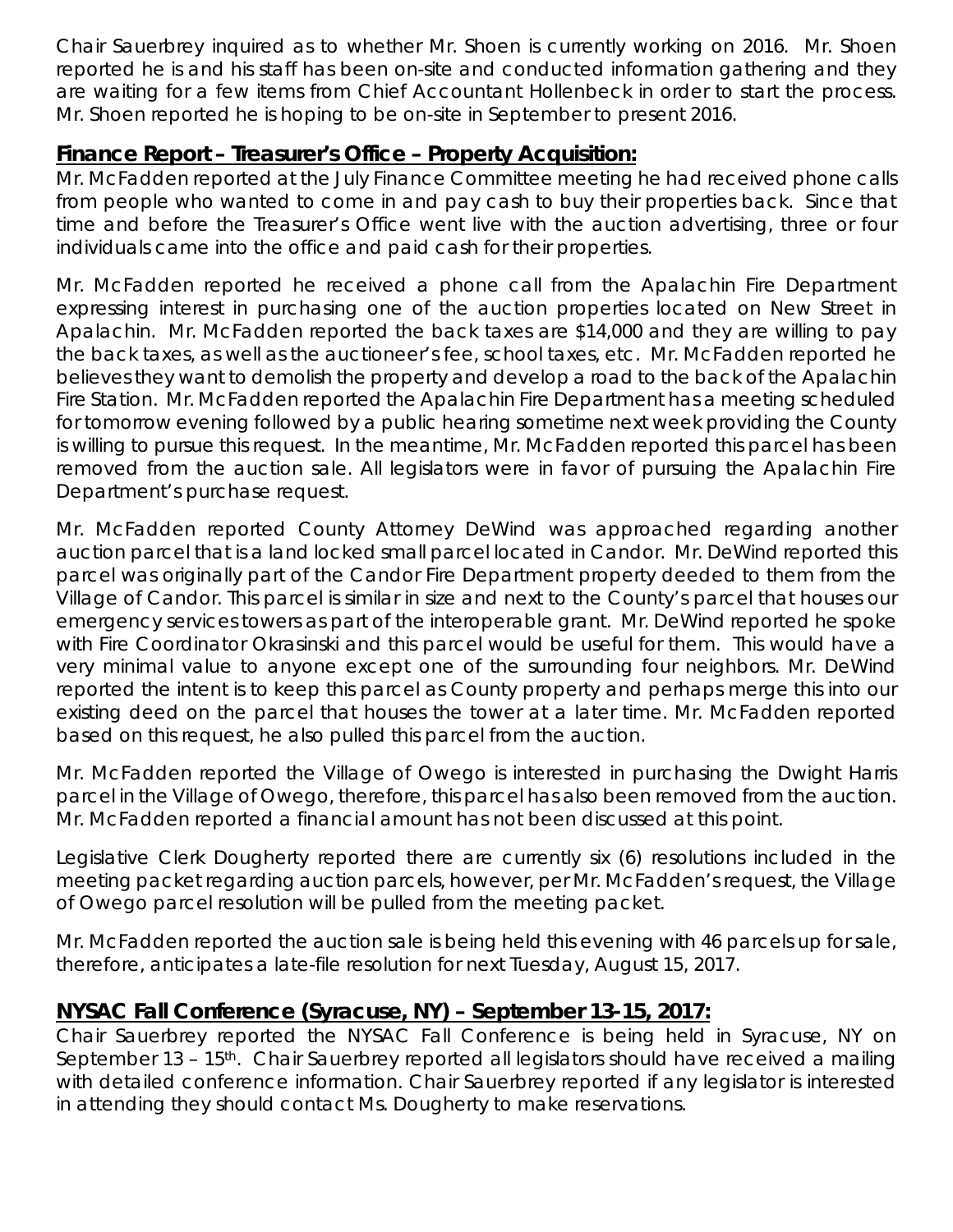Chair Sauerbrey inquired as to whether Mr. Shoen is currently working on 2016. Mr. Shoen reported he is and his staff has been on-site and conducted information gathering and they are waiting for a few items from Chief Accountant Hollenbeck in order to start the process. Mr. Shoen reported he is hoping to be on-site in September to present 2016.

## **Finance Report – Treasurer's Office – Property Acquisition:**

Mr. McFadden reported at the July Finance Committee meeting he had received phone calls from people who wanted to come in and pay cash to buy their properties back. Since that time and before the Treasurer's Office went live with the auction advertising, three or four individuals came into the office and paid cash for their properties.

Mr. McFadden reported he received a phone call from the Apalachin Fire Department expressing interest in purchasing one of the auction properties located on New Street in Apalachin. Mr. McFadden reported the back taxes are \$14,000 and they are willing to pay the back taxes, as well as the auctioneer's fee, school taxes, etc. Mr. McFadden reported he believes they want to demolish the property and develop a road to the back of the Apalachin Fire Station. Mr. McFadden reported the Apalachin Fire Department has a meeting scheduled for tomorrow evening followed by a public hearing sometime next week providing the County is willing to pursue this request. In the meantime, Mr. McFadden reported this parcel has been removed from the auction sale. All legislators were in favor of pursuing the Apalachin Fire Department's purchase request.

Mr. McFadden reported County Attorney DeWind was approached regarding another auction parcel that is a land locked small parcel located in Candor. Mr. DeWind reported this parcel was originally part of the Candor Fire Department property deeded to them from the Village of Candor. This parcel is similar in size and next to the County's parcel that houses our emergency services towers as part of the interoperable grant. Mr. DeWind reported he spoke with Fire Coordinator Okrasinski and this parcel would be useful for them. This would have a very minimal value to anyone except one of the surrounding four neighbors. Mr. DeWind reported the intent is to keep this parcel as County property and perhaps merge this into our existing deed on the parcel that houses the tower at a later time. Mr. McFadden reported based on this request, he also pulled this parcel from the auction.

Mr. McFadden reported the Village of Owego is interested in purchasing the Dwight Harris parcel in the Village of Owego, therefore, this parcel has also been removed from the auction. Mr. McFadden reported a financial amount has not been discussed at this point.

Legislative Clerk Dougherty reported there are currently six (6) resolutions included in the meeting packet regarding auction parcels, however, per Mr. McFadden's request, the Village of Owego parcel resolution will be pulled from the meeting packet.

Mr. McFadden reported the auction sale is being held this evening with 46 parcels up for sale, therefore, anticipates a late-file resolution for next Tuesday, August 15, 2017.

## **NYSAC Fall Conference (Syracuse, NY) – September 13-15, 2017:**

Chair Sauerbrey reported the NYSAC Fall Conference is being held in Syracuse, NY on September 13 – 15<sup>th</sup>. Chair Sauerbrey reported all legislators should have received a mailing with detailed conference information. Chair Sauerbrey reported if any legislator is interested in attending they should contact Ms. Dougherty to make reservations.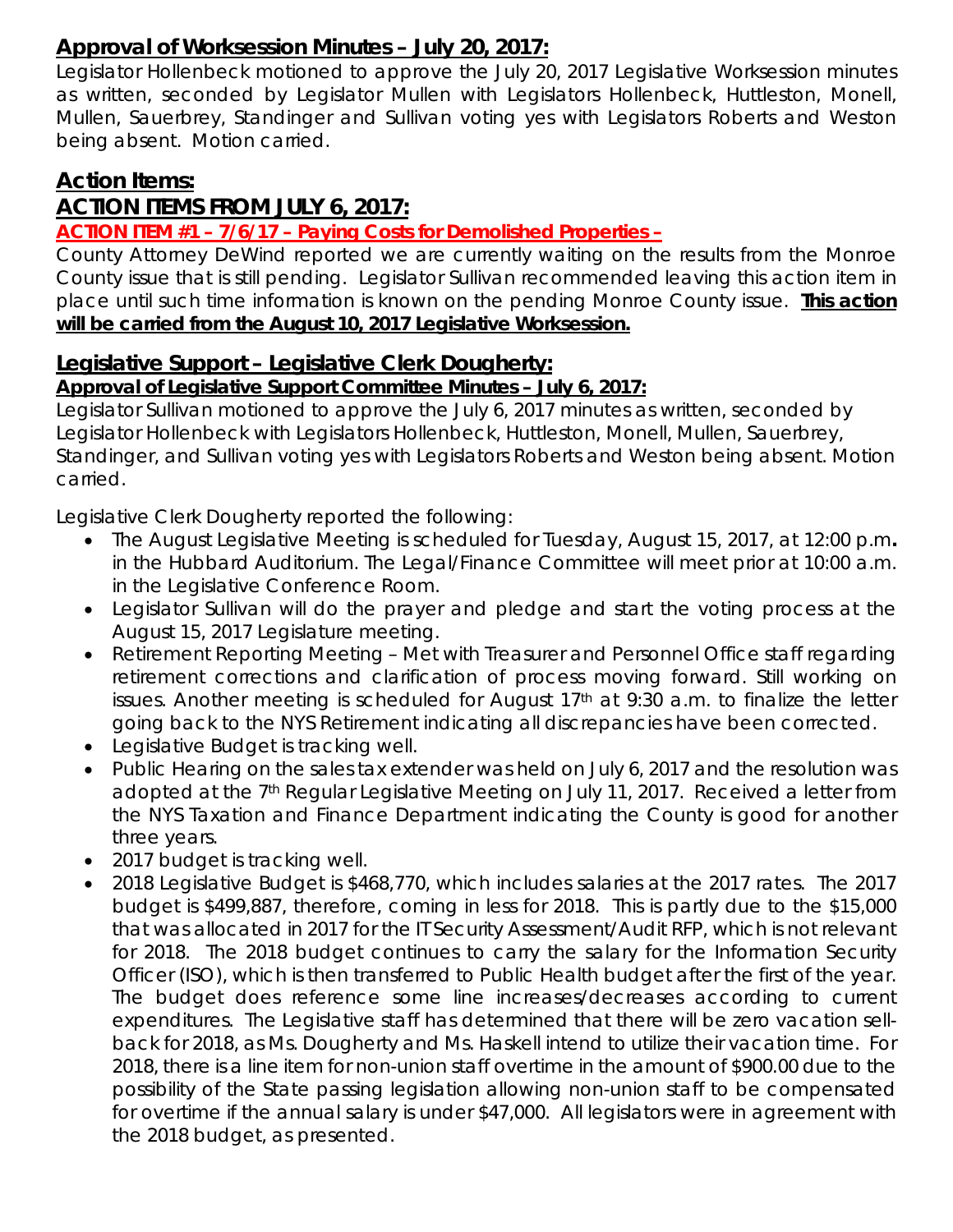# **Approval of Worksession Minutes – July 20, 2017:**

Legislator Hollenbeck motioned to approve the July 20, 2017 Legislative Worksession minutes as written, seconded by Legislator Mullen with Legislators Hollenbeck, Huttleston, Monell, Mullen, Sauerbrey, Standinger and Sullivan voting yes with Legislators Roberts and Weston being absent. Motion carried.

## **Action Items:**

## **ACTION ITEMS FROM JULY 6, 2017:**

#### **ACTION ITEM #1 – 7/6/17 – Paying Costs for Demolished Properties –**

County Attorney DeWind reported we are currently waiting on the results from the Monroe County issue that is still pending. Legislator Sullivan recommended leaving this action item in place until such time information is known on the pending Monroe County issue. **This action will be carried from the August 10, 2017 Legislative Worksession.**

#### **Legislative Support – Legislative Clerk Dougherty:**

#### *Approval of Legislative Support Committee Minutes – July 6, 2017:*

Legislator Sullivan motioned to approve the July 6, 2017 minutes as written, seconded by Legislator Hollenbeck with Legislators Hollenbeck, Huttleston, Monell, Mullen, Sauerbrey, Standinger, and Sullivan voting yes with Legislators Roberts and Weston being absent. Motion carried.

Legislative Clerk Dougherty reported the following:

- The August Legislative Meeting is scheduled for Tuesday, August 15, 2017, at 12:00 p.m*.* in the Hubbard Auditorium. The Legal/Finance Committee will meet prior at 10:00 a.m. in the Legislative Conference Room.
- Legislator Sullivan will do the prayer and pledge and start the voting process at the August 15, 2017 Legislature meeting.
- Retirement Reporting Meeting Met with Treasurer and Personnel Office staff regarding retirement corrections and clarification of process moving forward. Still working on issues. Another meeting is scheduled for August  $17<sup>th</sup>$  at 9:30 a.m. to finalize the letter going back to the NYS Retirement indicating all discrepancies have been corrected.
- Legislative Budget is tracking well.
- Public Hearing on the sales tax extender was held on July 6, 2017 and the resolution was adopted at the 7<sup>th</sup> Regular Legislative Meeting on July 11, 2017. Received a letter from the NYS Taxation and Finance Department indicating the County is good for another three years.
- 2017 budget is tracking well.
- 2018 Legislative Budget is \$468,770, which includes salaries at the 2017 rates. The 2017 budget is \$499,887, therefore, coming in less for 2018. This is partly due to the \$15,000 that was allocated in 2017 for the IT Security Assessment/Audit RFP, which is not relevant for 2018. The 2018 budget continues to carry the salary for the Information Security Officer (ISO), which is then transferred to Public Health budget after the first of the year. The budget does reference some line increases/decreases according to current expenditures. The Legislative staff has determined that there will be zero vacation sellback for 2018, as Ms. Dougherty and Ms. Haskell intend to utilize their vacation time. For 2018, there is a line item for non-union staff overtime in the amount of \$900.00 due to the possibility of the State passing legislation allowing non-union staff to be compensated for overtime if the annual salary is under \$47,000. All legislators were in agreement with the 2018 budget, as presented.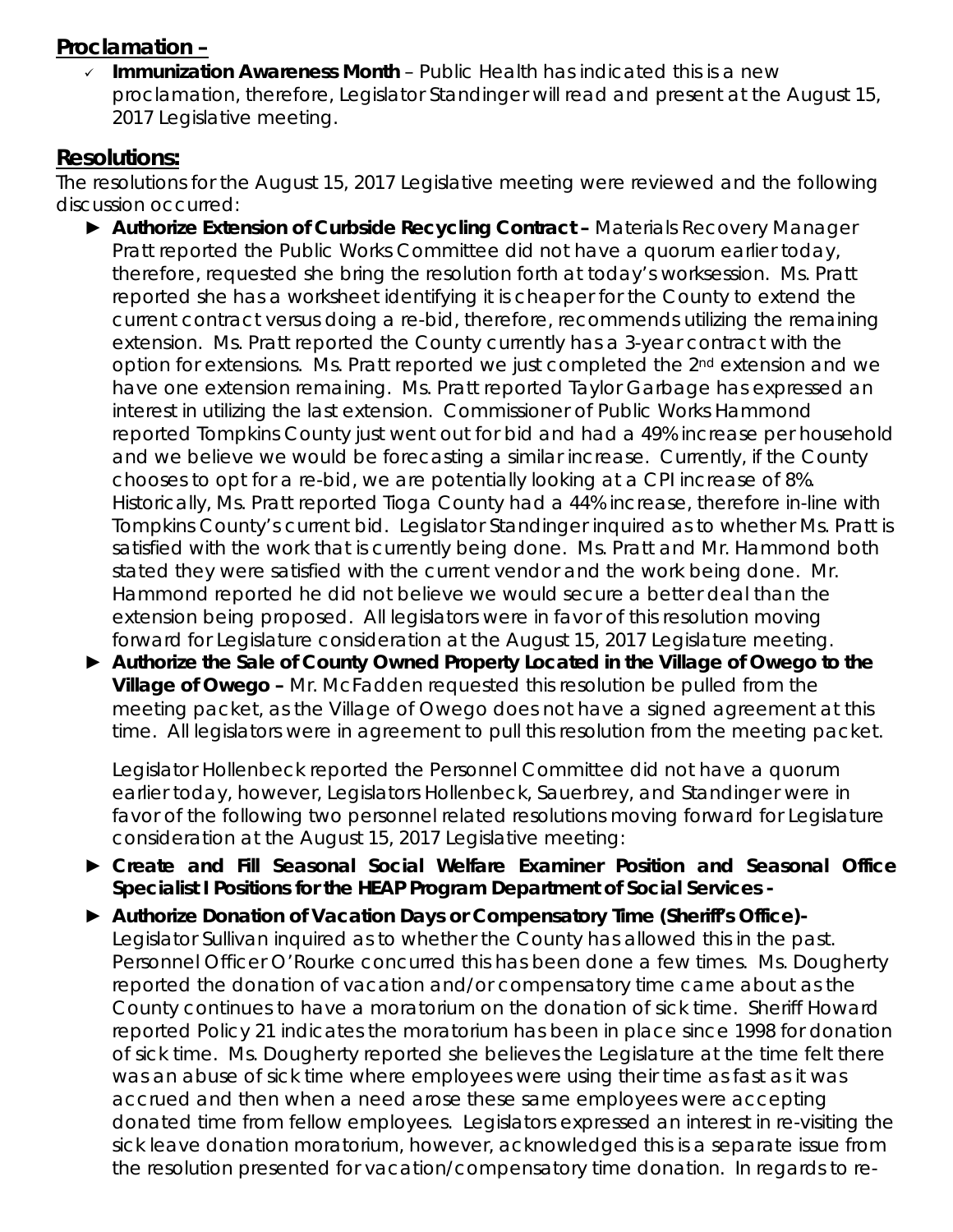## **Proclamation –**

 *Immunization Awareness Month* – Public Health has indicated this is a new proclamation, therefore, Legislator Standinger will read and present at the August 15, 2017 Legislative meeting.

## **Resolutions:**

The resolutions for the August 15, 2017 Legislative meeting were reviewed and the following discussion occurred:

- ► *Authorize Extension of Curbside Recycling Contract –* Materials Recovery Manager Pratt reported the Public Works Committee did not have a quorum earlier today, therefore, requested she bring the resolution forth at today's worksession. Ms. Pratt reported she has a worksheet identifying it is cheaper for the County to extend the current contract versus doing a re-bid, therefore, recommends utilizing the remaining extension. Ms. Pratt reported the County currently has a 3-year contract with the option for extensions. Ms. Pratt reported we just completed the 2nd extension and we have one extension remaining. Ms. Pratt reported Taylor Garbage has expressed an interest in utilizing the last extension. Commissioner of Public Works Hammond reported Tompkins County just went out for bid and had a 49% increase per household and we believe we would be forecasting a similar increase. Currently, if the County chooses to opt for a re-bid, we are potentially looking at a CPI increase of 8%. Historically, Ms. Pratt reported Tioga County had a 44% increase, therefore in-line with Tompkins County's current bid. Legislator Standinger inquired as to whether Ms. Pratt is satisfied with the work that is currently being done. Ms. Pratt and Mr. Hammond both stated they were satisfied with the current vendor and the work being done. Mr. Hammond reported he did not believe we would secure a better deal than the extension being proposed. All legislators were in favor of this resolution moving forward for Legislature consideration at the August 15, 2017 Legislature meeting.
- ► *Authorize the Sale of County Owned Property Located in the Village of Owego to the Village of Owego –* Mr. McFadden requested this resolution be pulled from the meeting packet, as the Village of Owego does not have a signed agreement at this time. All legislators were in agreement to pull this resolution from the meeting packet.

Legislator Hollenbeck reported the Personnel Committee did not have a quorum earlier today, however, Legislators Hollenbeck, Sauerbrey, and Standinger were in favor of the following two personnel related resolutions moving forward for Legislature consideration at the August 15, 2017 Legislative meeting:

- ► *Create and Fill Seasonal Social Welfare Examiner Position and Seasonal Office Specialist I Positions for the HEAP Program Department of Social Services -*
- ► *Authorize Donation of Vacation Days or Compensatory Time (Sheriff's Office)-* Legislator Sullivan inquired as to whether the County has allowed this in the past. Personnel Officer O'Rourke concurred this has been done a few times. Ms. Dougherty reported the donation of vacation and/or compensatory time came about as the County continues to have a moratorium on the donation of sick time. Sheriff Howard reported Policy 21 indicates the moratorium has been in place since 1998 for donation of sick time. Ms. Dougherty reported she believes the Legislature at the time felt there was an abuse of sick time where employees were using their time as fast as it was accrued and then when a need arose these same employees were accepting donated time from fellow employees. Legislators expressed an interest in re-visiting the sick leave donation moratorium, however, acknowledged this is a separate issue from the resolution presented for vacation/compensatory time donation. In regards to re-